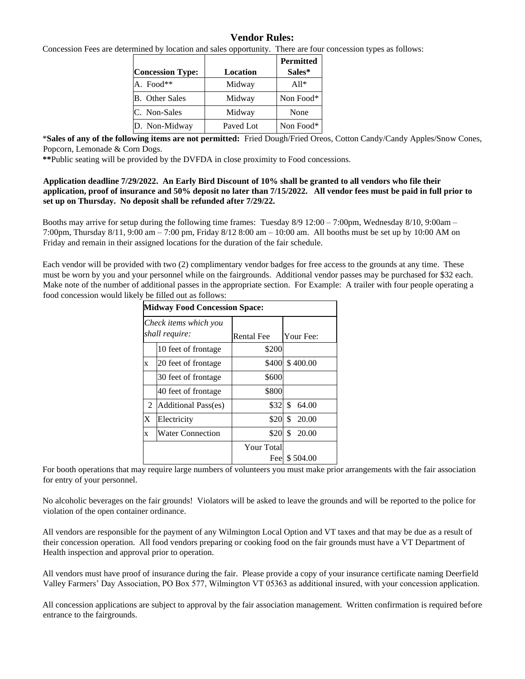### **Vendor Rules:**

Concession Fees are determined by location and sales opportunity. There are four concession types as follows:

| <b>Concession Type:</b> | Location  | <b>Permitted</b><br>Sales* |
|-------------------------|-----------|----------------------------|
| A. Food**               | Midway    | $A11*$                     |
| <b>B.</b> Other Sales   | Midway    | Non Food*                  |
| C. Non-Sales            | Midway    | None                       |
| D. Non-Midway           | Paved Lot | Non Food*                  |

\***Sales of any of the following items are not permitted:** Fried Dough/Fried Oreos, Cotton Candy/Candy Apples/Snow Cones, Popcorn, Lemonade & Corn Dogs.

**\*\***Public seating will be provided by the DVFDA in close proximity to Food concessions.

#### **Application deadline 7/29/2022. An Early Bird Discount of 10% shall be granted to all vendors who file their application, proof of insurance and 50% deposit no later than 7/15/2022. All vendor fees must be paid in full prior to set up on Thursday. No deposit shall be refunded after 7/29/22.**

Booths may arrive for setup during the following time frames: Tuesday 8/9 12:00 – 7:00pm, Wednesday 8/10, 9:00am – 7:00pm, Thursday 8/11, 9:00 am – 7:00 pm, Friday 8/12 8:00 am – 10:00 am. All booths must be set up by 10:00 AM on Friday and remain in their assigned locations for the duration of the fair schedule.

Each vendor will be provided with two (2) complimentary vendor badges for free access to the grounds at any time. These must be worn by you and your personnel while on the fairgrounds. Additional vendor passes may be purchased for \$32 each. Make note of the number of additional passes in the appropriate section. For Example: A trailer with four people operating a food concession would likely be filled out as follows:

| <b>Midway Food Concession Space:</b>    |                            |                          |             |  |  |  |
|-----------------------------------------|----------------------------|--------------------------|-------------|--|--|--|
| Check items which you<br>shall require: |                            | <b>Rental Fee</b>        | Your Fee:   |  |  |  |
|                                         | 10 feet of frontage        | \$200                    |             |  |  |  |
| X                                       | 20 feet of frontage        | \$400                    | \$400.00    |  |  |  |
|                                         | 30 feet of frontage        | \$600                    |             |  |  |  |
|                                         | 40 feet of frontage        | \$800                    |             |  |  |  |
| 2                                       | <b>Additional Pass(es)</b> | \$32                     | \$<br>64.00 |  |  |  |
| X                                       | Electricity                | \$20                     | \$<br>20.00 |  |  |  |
| X                                       | <b>Water Connection</b>    | \$20                     | \$<br>20.00 |  |  |  |
|                                         |                            | <b>Your Total</b><br>Fee | \$504.00    |  |  |  |

For booth operations that may require large numbers of volunteers you must make prior arrangements with the fair association for entry of your personnel.

No alcoholic beverages on the fair grounds! Violators will be asked to leave the grounds and will be reported to the police for violation of the open container ordinance.

All vendors are responsible for the payment of any Wilmington Local Option and VT taxes and that may be due as a result of their concession operation. All food vendors preparing or cooking food on the fair grounds must have a VT Department of Health inspection and approval prior to operation.

All vendors must have proof of insurance during the fair. Please provide a copy of your insurance certificate naming Deerfield Valley Farmers' Day Association, PO Box 577, Wilmington VT 05363 as additional insured, with your concession application.

All concession applications are subject to approval by the fair association management. Written confirmation is required before entrance to the fairgrounds.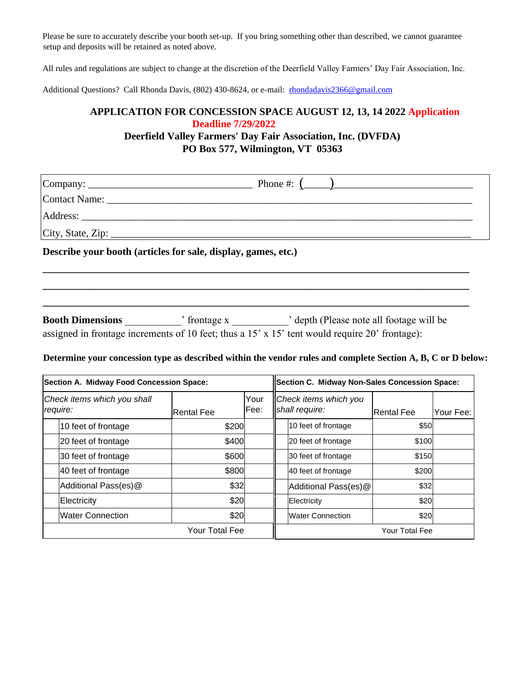Please be sure to accurately describe your booth set-up. If you bring something other than described, we cannot guarantee setup and deposits will be retained as noted above.

All rules and regulations are subject to change at the discretion of the Deerfield Valley Farmers' Day Fair Association, Inc.

Additional Questions? Call Rhonda Davis, (802) 430-8624, or e-mail: rhondadavis2366@gmail.com

# **APPLICATION FOR CONCESSION SPACE AUGUST 12, 13, 14 2022 Application Deadline 7/29/2022**

## **Deerfield Valley Farmers' Day Fair Association, Inc. (DVFDA) PO Box 577, Wilmington, VT 05363**

| Describe your booth (articles for sale, display, games, etc.) |  |  |  |  |  |  |
|---------------------------------------------------------------|--|--|--|--|--|--|
|                                                               |  |  |  |  |  |  |
|                                                               |  |  |  |  |  |  |

| <b>Booth Dimensions</b> | ' frontage x | depth (Please note all footage will be                                                                |
|-------------------------|--------------|-------------------------------------------------------------------------------------------------------|
|                         |              | assigned in frontage increments of 10 feet; thus a $15' \times 15'$ tent would require 20' frontage): |

**\_\_\_\_\_\_\_\_\_\_\_\_\_\_\_\_\_\_\_\_\_\_\_\_\_\_\_\_\_\_\_\_\_\_\_\_\_\_\_\_\_\_\_\_\_\_\_\_\_\_\_\_\_\_\_\_\_\_\_\_\_\_\_\_\_\_\_\_\_\_\_\_\_\_\_\_\_\_\_\_\_\_\_** 

### **Determine your concession type as described within the vendor rules and complete Section A, B, C or D below:**

| Section A. Midway Food Concession Space: |                      |                   | Section C. Midway Non-Sales Concession Space: |                                         |                         |            |           |
|------------------------------------------|----------------------|-------------------|-----------------------------------------------|-----------------------------------------|-------------------------|------------|-----------|
| Check items which you shall<br>require:  |                      | <b>Rental Fee</b> | Your<br>Fee:                                  | Check items which you<br>shall require: |                         | Rental Fee | Your Fee: |
|                                          | 10 feet of frontage  | \$200             |                                               |                                         | 10 feet of frontage     | \$50       |           |
|                                          | 20 feet of frontage  | \$400             |                                               |                                         | 20 feet of frontage     | \$100      |           |
|                                          | 30 feet of frontage  | \$600             |                                               |                                         | 30 feet of frontage     | \$150      |           |
|                                          | 40 feet of frontage  | \$800             |                                               |                                         | 40 feet of frontage     | \$200      |           |
|                                          | Additional Pass(es)@ | \$32              |                                               |                                         | Additional Pass(es)@    | \$32       |           |
|                                          | <b>Electricity</b>   | \$20              |                                               |                                         | Electricity             | \$20       |           |
|                                          | Water Connection     | \$20              |                                               |                                         | <b>Water Connection</b> | \$20       |           |
|                                          | Your Total Fee       |                   |                                               | Your Total Fee                          |                         |            |           |